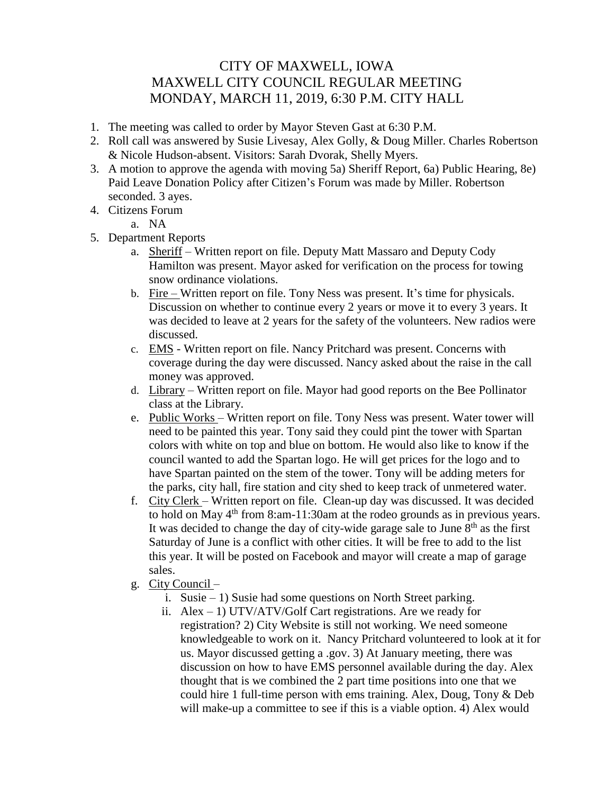## CITY OF MAXWELL, IOWA MAXWELL CITY COUNCIL REGULAR MEETING MONDAY, MARCH 11, 2019, 6:30 P.M. CITY HALL

- 1. The meeting was called to order by Mayor Steven Gast at 6:30 P.M.
- 2. Roll call was answered by Susie Livesay, Alex Golly, & Doug Miller. Charles Robertson & Nicole Hudson-absent. Visitors: Sarah Dvorak, Shelly Myers.
- 3. A motion to approve the agenda with moving 5a) Sheriff Report, 6a) Public Hearing, 8e) Paid Leave Donation Policy after Citizen's Forum was made by Miller. Robertson seconded. 3 ayes.
- 4. Citizens Forum
	- a. NA
- 5. Department Reports
	- a. Sheriff Written report on file. Deputy Matt Massaro and Deputy Cody Hamilton was present. Mayor asked for verification on the process for towing snow ordinance violations.
	- b. Fire Written report on file. Tony Ness was present. It's time for physicals. Discussion on whether to continue every 2 years or move it to every 3 years. It was decided to leave at 2 years for the safety of the volunteers. New radios were discussed.
	- c. EMS Written report on file. Nancy Pritchard was present. Concerns with coverage during the day were discussed. Nancy asked about the raise in the call money was approved.
	- d. Library Written report on file. Mayor had good reports on the Bee Pollinator class at the Library.
	- e. Public Works Written report on file. Tony Ness was present. Water tower will need to be painted this year. Tony said they could pint the tower with Spartan colors with white on top and blue on bottom. He would also like to know if the council wanted to add the Spartan logo. He will get prices for the logo and to have Spartan painted on the stem of the tower. Tony will be adding meters for the parks, city hall, fire station and city shed to keep track of unmetered water.
	- f. City Clerk Written report on file. Clean-up day was discussed. It was decided to hold on May  $4<sup>th</sup>$  from 8:am-11:30am at the rodeo grounds as in previous years. It was decided to change the day of city-wide garage sale to June  $8<sup>th</sup>$  as the first Saturday of June is a conflict with other cities. It will be free to add to the list this year. It will be posted on Facebook and mayor will create a map of garage sales.
	- g. City Council
		- i. Susie 1) Susie had some questions on North Street parking.
		- ii. Alex 1) UTV/ATV/Golf Cart registrations. Are we ready for registration? 2) City Website is still not working. We need someone knowledgeable to work on it. Nancy Pritchard volunteered to look at it for us. Mayor discussed getting a .gov. 3) At January meeting, there was discussion on how to have EMS personnel available during the day. Alex thought that is we combined the 2 part time positions into one that we could hire 1 full-time person with ems training. Alex, Doug, Tony & Deb will make-up a committee to see if this is a viable option. 4) Alex would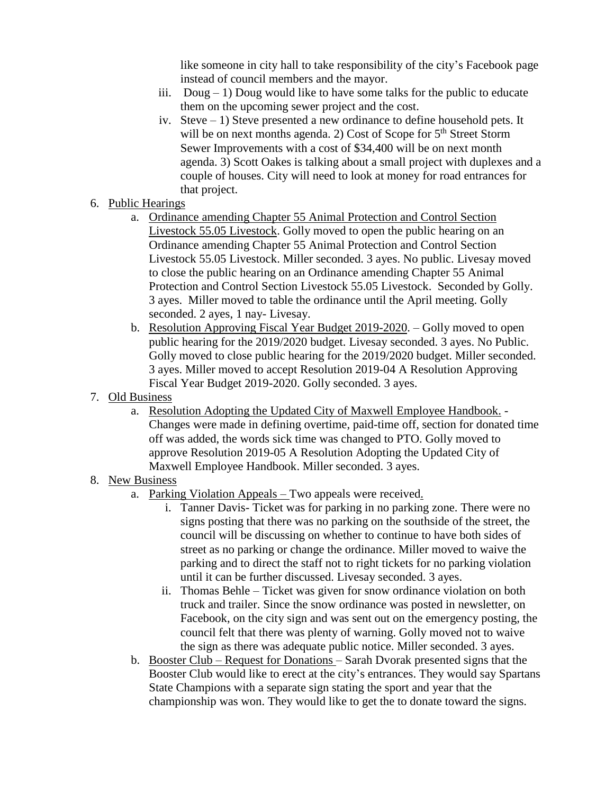like someone in city hall to take responsibility of the city's Facebook page instead of council members and the mayor.

- iii. Doug 1) Doug would like to have some talks for the public to educate them on the upcoming sewer project and the cost.
- iv. Steve 1) Steve presented a new ordinance to define household pets. It will be on next months agenda. 2) Cost of Scope for 5<sup>th</sup> Street Storm Sewer Improvements with a cost of \$34,400 will be on next month agenda. 3) Scott Oakes is talking about a small project with duplexes and a couple of houses. City will need to look at money for road entrances for that project.

## 6. Public Hearings

- a. Ordinance amending Chapter 55 Animal Protection and Control Section Livestock 55.05 Livestock. Golly moved to open the public hearing on an Ordinance amending Chapter 55 Animal Protection and Control Section Livestock 55.05 Livestock. Miller seconded. 3 ayes. No public. Livesay moved to close the public hearing on an Ordinance amending Chapter 55 Animal Protection and Control Section Livestock 55.05 Livestock. Seconded by Golly. 3 ayes. Miller moved to table the ordinance until the April meeting. Golly seconded. 2 ayes, 1 nay- Livesay.
- b. Resolution Approving Fiscal Year Budget 2019-2020. Golly moved to open public hearing for the 2019/2020 budget. Livesay seconded. 3 ayes. No Public. Golly moved to close public hearing for the 2019/2020 budget. Miller seconded. 3 ayes. Miller moved to accept Resolution 2019-04 A Resolution Approving Fiscal Year Budget 2019-2020. Golly seconded. 3 ayes.
- 7. Old Business
	- a. Resolution Adopting the Updated City of Maxwell Employee Handbook. Changes were made in defining overtime, paid-time off, section for donated time off was added, the words sick time was changed to PTO. Golly moved to approve Resolution 2019-05 A Resolution Adopting the Updated City of Maxwell Employee Handbook. Miller seconded. 3 ayes.

## 8. New Business

- a. Parking Violation Appeals Two appeals were received.
	- i. Tanner Davis- Ticket was for parking in no parking zone. There were no signs posting that there was no parking on the southside of the street, the council will be discussing on whether to continue to have both sides of street as no parking or change the ordinance. Miller moved to waive the parking and to direct the staff not to right tickets for no parking violation until it can be further discussed. Livesay seconded. 3 ayes.
	- ii. Thomas Behle Ticket was given for snow ordinance violation on both truck and trailer. Since the snow ordinance was posted in newsletter, on Facebook, on the city sign and was sent out on the emergency posting, the council felt that there was plenty of warning. Golly moved not to waive the sign as there was adequate public notice. Miller seconded. 3 ayes.
- b. Booster Club Request for Donations Sarah Dvorak presented signs that the Booster Club would like to erect at the city's entrances. They would say Spartans State Champions with a separate sign stating the sport and year that the championship was won. They would like to get the to donate toward the signs.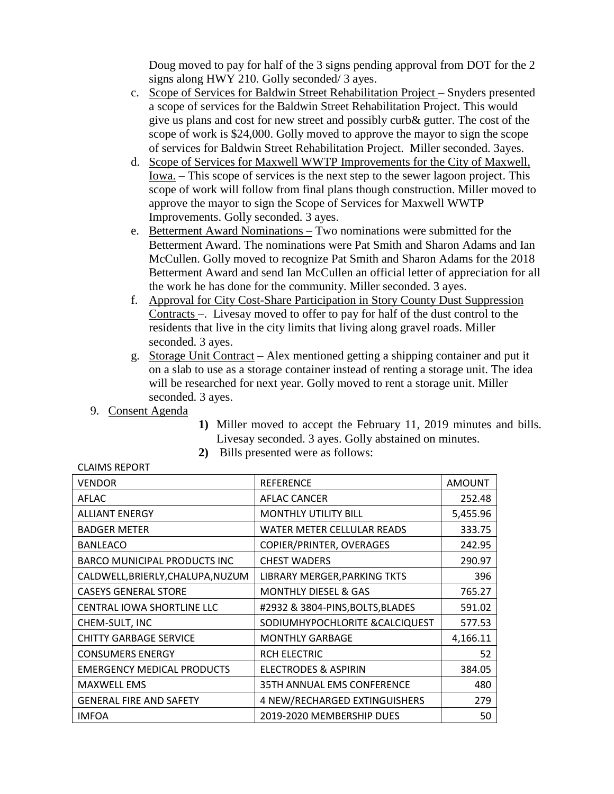Doug moved to pay for half of the 3 signs pending approval from DOT for the 2 signs along HWY 210. Golly seconded/ 3 ayes.

- c. Scope of Services for Baldwin Street Rehabilitation Project Snyders presented a scope of services for the Baldwin Street Rehabilitation Project. This would give us plans and cost for new street and possibly curb& gutter. The cost of the scope of work is \$24,000. Golly moved to approve the mayor to sign the scope of services for Baldwin Street Rehabilitation Project. Miller seconded. 3ayes.
- d. Scope of Services for Maxwell WWTP Improvements for the City of Maxwell, Iowa. – This scope of services is the next step to the sewer lagoon project. This scope of work will follow from final plans though construction. Miller moved to approve the mayor to sign the Scope of Services for Maxwell WWTP Improvements. Golly seconded. 3 ayes.
- e. Betterment Award Nominations Two nominations were submitted for the Betterment Award. The nominations were Pat Smith and Sharon Adams and Ian McCullen. Golly moved to recognize Pat Smith and Sharon Adams for the 2018 Betterment Award and send Ian McCullen an official letter of appreciation for all the work he has done for the community. Miller seconded. 3 ayes.
- f. Approval for City Cost-Share Participation in Story County Dust Suppression Contracts –. Livesay moved to offer to pay for half of the dust control to the residents that live in the city limits that living along gravel roads. Miller seconded. 3 ayes.
- g. Storage Unit Contract Alex mentioned getting a shipping container and put it on a slab to use as a storage container instead of renting a storage unit. The idea will be researched for next year. Golly moved to rent a storage unit. Miller seconded. 3 ayes.
- 9. Consent Agenda
- **1)** Miller moved to accept the February 11, 2019 minutes and bills. Livesay seconded. 3 ayes. Golly abstained on minutes.
- **2)** Bills presented were as follows:

| <b>VENDOR</b>                       | <b>REFERENCE</b>                 | <b>AMOUNT</b> |
|-------------------------------------|----------------------------------|---------------|
| AFLAC                               | AFLAC CANCER                     | 252.48        |
| <b>ALLIANT ENERGY</b>               | <b>MONTHLY UTILITY BILL</b>      | 5,455.96      |
| <b>BADGER METER</b>                 | WATER METER CELLULAR READS       | 333.75        |
| <b>BANLEACO</b>                     | COPIER/PRINTER, OVERAGES         | 242.95        |
| <b>BARCO MUNICIPAL PRODUCTS INC</b> | <b>CHEST WADERS</b>              | 290.97        |
| CALDWELL, BRIERLY, CHALUPA, NUZUM   | LIBRARY MERGER, PARKING TKTS     | 396           |
| <b>CASEYS GENERAL STORE</b>         | <b>MONTHLY DIESEL &amp; GAS</b>  | 765.27        |
| <b>CENTRAL IOWA SHORTLINE LLC</b>   | #2932 & 3804-PINS, BOLTS, BLADES | 591.02        |
| CHEM-SULT, INC                      | SODIUMHYPOCHLORITE & CALCIQUEST  | 577.53        |
| <b>CHITTY GARBAGE SERVICE</b>       | <b>MONTHLY GARBAGE</b>           | 4,166.11      |
| <b>CONSUMERS ENERGY</b>             | <b>RCH ELECTRIC</b>              | 52            |
| <b>EMERGENCY MEDICAL PRODUCTS</b>   | <b>ELECTRODES &amp; ASPIRIN</b>  | 384.05        |
| <b>MAXWELL EMS</b>                  | 35TH ANNUAL EMS CONFERENCE       | 480           |
| <b>GENERAL FIRE AND SAFETY</b>      | 4 NEW/RECHARGED EXTINGUISHERS    | 279           |
| <b>IMFOA</b>                        | 2019-2020 MEMBERSHIP DUES        | 50            |

CLAIMS REPORT